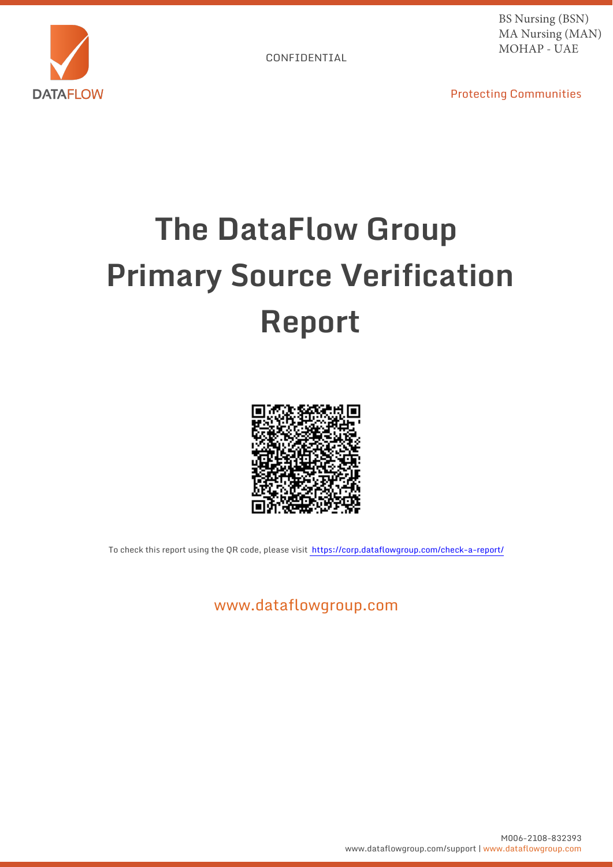

BS Nursing (BSN) MA Nursing (MAN) MOHAP - UAE

Protecting Communities

# **The DataFlow Group Primary Source Verification Report**



To check this report using the QR code, please visit https://corp.dataflowgroup.com/check-a-report/

www.dataflowgroup.com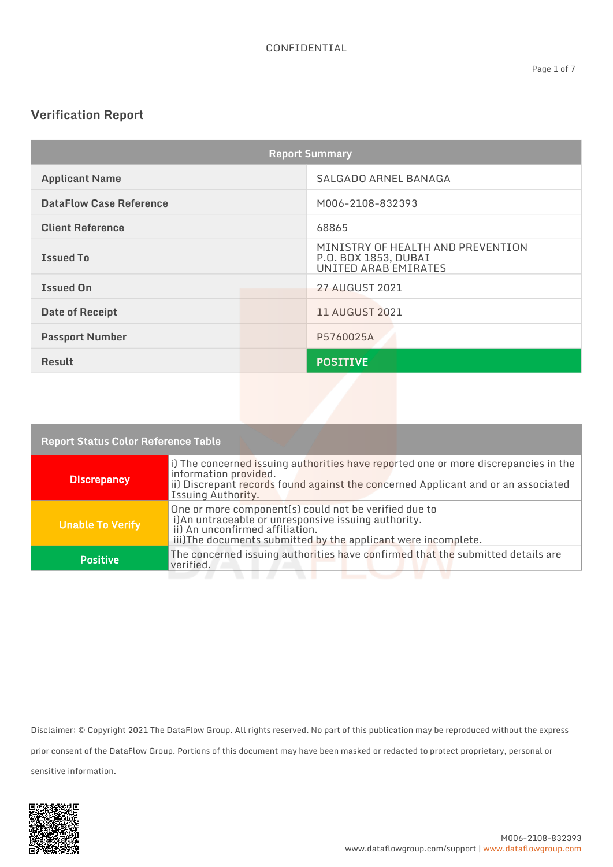## **Verification Report**

| <b>Report Summary</b>          |                                                                                   |  |
|--------------------------------|-----------------------------------------------------------------------------------|--|
| <b>Applicant Name</b>          | SALGADO ARNEL BANAGA                                                              |  |
| <b>DataFlow Case Reference</b> | M006-2108-832393                                                                  |  |
| <b>Client Reference</b>        | 68865                                                                             |  |
| <b>Issued To</b>               | MINISTRY OF HEALTH AND PREVENTION<br>P.O. BOX 1853, DUBAI<br>UNITED ARAB EMIRATES |  |
| <b>Issued On</b>               | <b>27 AUGUST 2021</b>                                                             |  |
| Date of Receipt                | <b>11 AUGUST 2021</b>                                                             |  |
| <b>Passport Number</b>         | P5760025A                                                                         |  |
| <b>Result</b>                  | <b>POSITIVE</b>                                                                   |  |
|                                |                                                                                   |  |

| <b>Report Status Color Reference Table</b> |                                                                                                                                                                                                                          |  |
|--------------------------------------------|--------------------------------------------------------------------------------------------------------------------------------------------------------------------------------------------------------------------------|--|
| <b>Discrepancy</b>                         | [i] The concerned issuing authorities have reported one or more discrepancies in the<br>information provided.<br>ii) Discrepant records found against the concerned Applicant and or an associated<br>Issuing Authority. |  |
| <b>Unable To Verify</b>                    | One or more component(s) could not be verified due to<br>i)An untraceable or unresponsive issuing authority.<br>ii) An unconfirmed affiliation.<br>iii)The documents submitted by the applicant were incomplete.         |  |
| <b>Positive</b>                            | The concerned issuing authorities have confirmed that the submitted details are<br>verified.                                                                                                                             |  |
|                                            |                                                                                                                                                                                                                          |  |

Disclaimer: © Copyright 2021 The DataFlow Group. All rights reserved. No part of this publication may be reproduced without the express prior consent of the DataFlow Group. Portions of this document may have been masked or redacted to protect proprietary, personal or sensitive information.

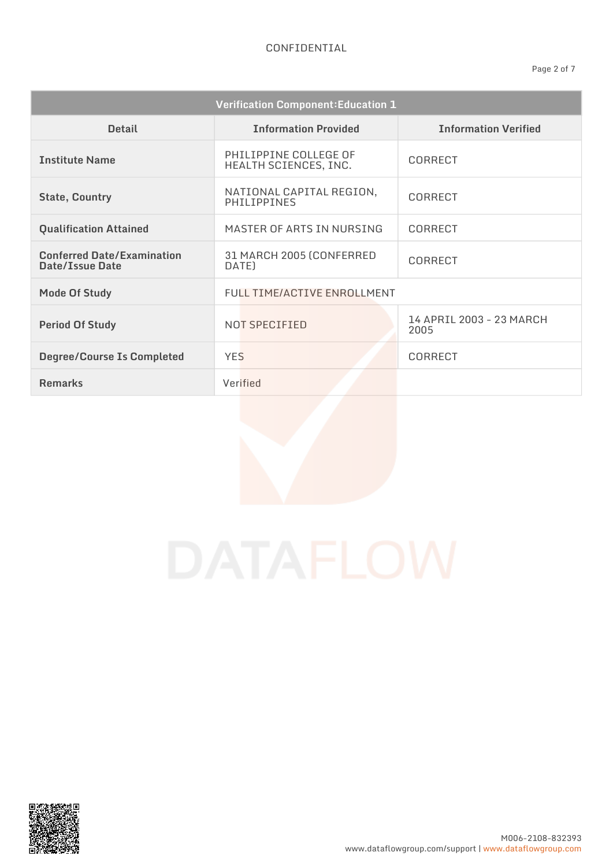| <b>Verification Component: Education 1</b>           |                                                |                                  |
|------------------------------------------------------|------------------------------------------------|----------------------------------|
| <b>Detail</b>                                        | <b>Information Provided</b>                    | <b>Information Verified</b>      |
| <b>Institute Name</b>                                | PHILIPPINE COLLEGE OF<br>HEALTH SCIENCES, INC. | CORRECT                          |
| <b>State, Country</b>                                | NATIONAL CAPITAL REGION,<br>PHILIPPINES        | CORRECT                          |
| <b>Qualification Attained</b>                        | MASTER OF ARTS IN NURSING                      | <b>CORRECT</b>                   |
| <b>Conferred Date/Examination</b><br>Date/Issue Date | 31 MARCH 2005 (CONFERRED<br>DATE)              | CORRECT                          |
| <b>Mode Of Study</b>                                 | FULL TIME/ACTIVE ENROLLMENT                    |                                  |
| <b>Period Of Study</b>                               | NOT SPECIFIED                                  | 14 APRIL 2003 - 23 MARCH<br>2005 |
| <b>Degree/Course Is Completed</b>                    | <b>YES</b>                                     | CORRECT                          |
| <b>Remarks</b>                                       | Verified                                       |                                  |

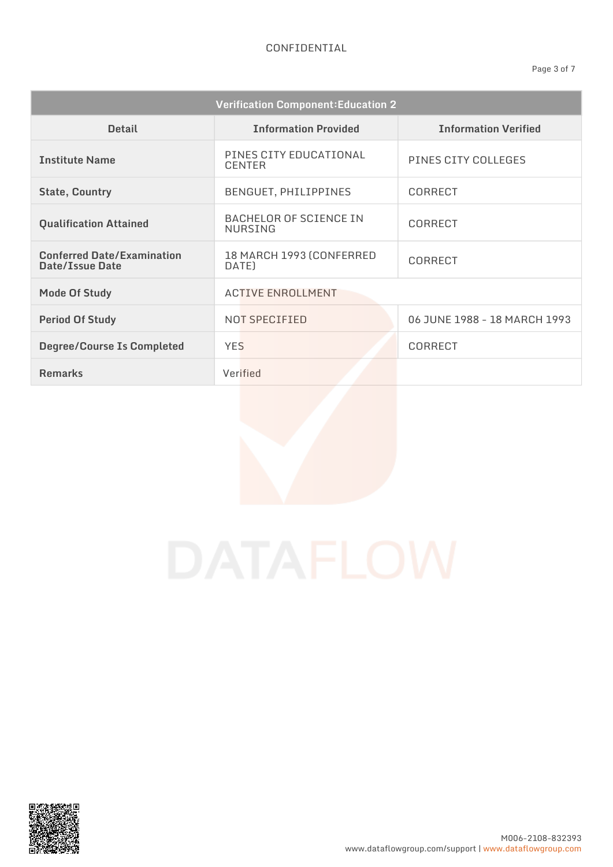### CONFIDENTIAL

| <b>Verification Component: Education 2</b>           |                                                 |                              |
|------------------------------------------------------|-------------------------------------------------|------------------------------|
| <b>Detail</b>                                        | <b>Information Provided</b>                     | <b>Information Verified</b>  |
| <b>Institute Name</b>                                | PINES CITY EDUCATIONAL<br><b>CENTER</b>         | PINES CITY COLLEGES          |
| <b>State, Country</b>                                | BENGUET, PHILIPPINES                            | CORRECT                      |
| <b>Qualification Attained</b>                        | <b>BACHELOR OF SCIENCE IN</b><br><b>NURSING</b> | CORRECT                      |
| <b>Conferred Date/Examination</b><br>Date/Issue Date | 18 MARCH 1993 (CONFERRED<br>DATE)               | <b>CORRECT</b>               |
| <b>Mode Of Study</b>                                 | <b>ACTIVE ENROLLMENT</b>                        |                              |
| <b>Period Of Study</b>                               | NOT SPECIFIED                                   | 06 JUNE 1988 - 18 MARCH 1993 |
| <b>Degree/Course Is Completed</b>                    | <b>YES</b>                                      | <b>CORRECT</b>               |
| <b>Remarks</b>                                       | Verified                                        |                              |

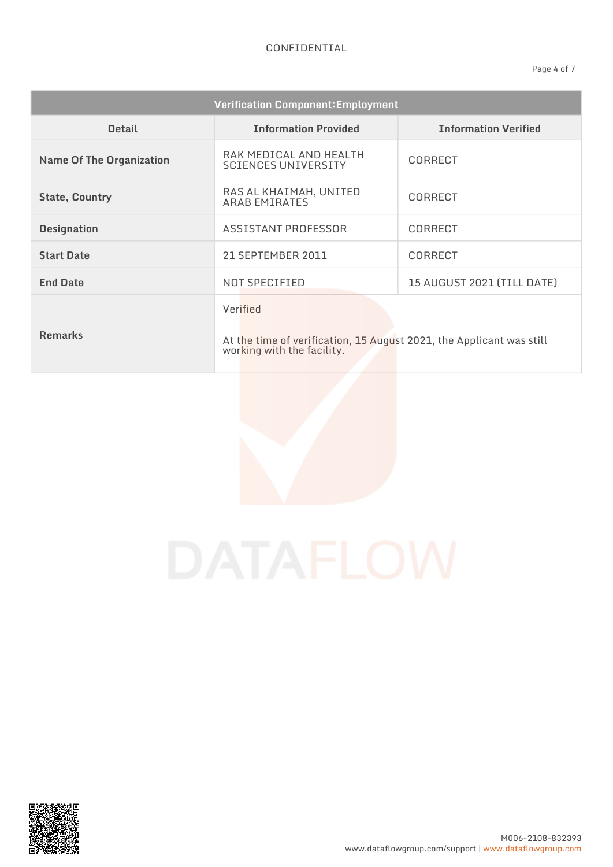| <b>Verification Component: Employment</b> |                                                                                                                |                             |
|-------------------------------------------|----------------------------------------------------------------------------------------------------------------|-----------------------------|
| <b>Detail</b>                             | <b>Information Provided</b>                                                                                    | <b>Information Verified</b> |
| <b>Name Of The Organization</b>           | RAK MEDICAL AND HEALTH<br><b>SCIENCES UNIVERSITY</b>                                                           | <b>CORRECT</b>              |
| <b>State, Country</b>                     | RAS AL KHAIMAH, UNITED<br><b>ARAB EMIRATES</b>                                                                 | CORRECT                     |
| <b>Designation</b>                        | ASSISTANT PROFESSOR                                                                                            | CORRECT                     |
| <b>Start Date</b>                         | 21 SEPTEMBER 2011                                                                                              | <b>CORRECT</b>              |
| <b>End Date</b>                           | NOT SPECIFIED                                                                                                  | 15 AUGUST 2021 (TILL DATE)  |
| <b>Remarks</b>                            | Verified<br>At the time of verification, 15 August 2021, the Applicant was still<br>working with the facility. |                             |